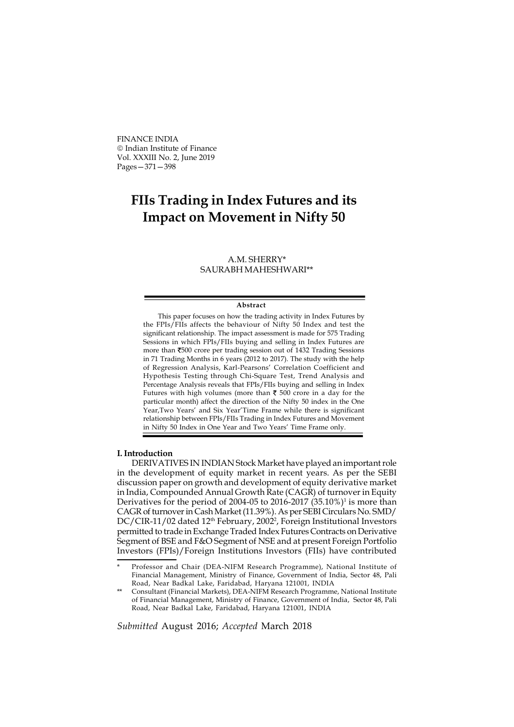FINANCE INDIA Indian Institute of Finance Vol. XXXIII No. 2, June 2019 Pages—371—398

# FIIs Trading in Index Futures and its Impact on Movement in Nifty 50

## A.M. SHERRY\* SAURABH MAHESHWARI\*\*

#### Abstract

This paper focuses on how the trading activity in Index Futures by the FPIs/FIIs affects the behaviour of Nifty 50 Index and test the significant relationship. The impact assessment is made for 575 Trading Sessions in which FPIs/FIIs buying and selling in Index Futures are more than 500 crore per trading session out of 1432 Trading Sessions in 71 Trading Months in 6 years (2012 to 2017). The study with the help of Regression Analysis, Karl-Pearsons' Correlation Coefficient and Hypothesis Testing through Chi-Square Test, Trend Analysis and Percentage Analysis reveals that FPIs/FIIs buying and selling in Index Futures with high volumes (more than  $\bar{\tau}$  500 crore in a day for the particular month) affect the direction of the Nifty 50 index in the One Year,Two Years' and Six Year'Time Frame while there is significant relationship between FPIs/FIIs Trading in Index Futures and Movement in Nifty 50 Index in One Year and Two Years' Time Frame only.

### I. Introduction

DERIVATIVES IN INDIAN Stock Market have played an important role in the development of equity market in recent years. As per the SEBI discussion paper on growth and development of equity derivative market in India, Compounded Annual Growth Rate (CAGR) of turnover in Equity Derivatives for the period of 2004-05 to 2016-2017  $(35.10\%)$ <sup>1</sup> is more than CAGR of turnover in Cash Market (11.39%). As per SEBI Circulars No. SMD/ DC/CIR-11/02 dated 12<sup>th</sup> February, 2002<sup>2</sup>, Foreign Institutional Investors permitted to trade in Exchange Traded Index Futures Contracts on Derivative Segment of BSE and F&O Segment of NSE and at present Foreign Portfolio Investors (FPIs)/Foreign Institutions Investors (FIIs) have contributed

Submitted August 2016; Accepted March 2018

Professor and Chair (DEA-NIFM Research Programme), National Institute of Financial Management, Ministry of Finance, Government of India, Sector 48, Pali Road, Near Badkal Lake, Faridabad, Haryana 121001, INDIA

<sup>\*\*</sup> Consultant (Financial Markets), DEA-NIFM Research Programme, National Institute of Financial Management, Ministry of Finance, Government of India, Sector 48, Pali Road, Near Badkal Lake, Faridabad, Haryana 121001, INDIA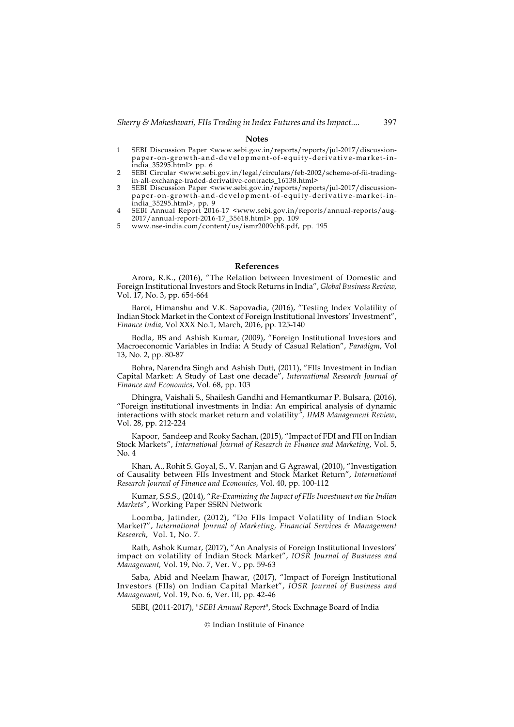### Notes

- 1 SEBI Discussion Paper <www.sebi.gov.in/reports/reports/jul-2017/discussionpaper-on-growth-and-development-of-equity-derivative-market-inindia\_35295.html> pp. 6
- 2 SEBI Circular <www.sebi.gov.in/legal/circulars/feb-2002/scheme-of-fii-tradingin-all-exchange-traded-derivative-contracts\_16138.html>
- 3 SEBI Discussion Paper <www.sebi.gov.in/reports/reports/jul-2017/discussionpaper-on-growth-and-development-of-equity-derivative-market-in-
- india\_35295.html>, pp. 9 4 SEBI Annual Report 2016-17 <www.sebi.gov.in/reports/annual-reports/aug-2017/annual-report-2016-17\_35618.html> pp. 109 5 www.nse-india.com/content/us/ismr2009ch8.pdf, pp. 195
- 

#### References

Arora, R.K., (2016), "The Relation between Investment of Domestic and Foreign Institutional Investors and Stock Returns in India", Global Business Review, Vol. 17, No. 3, pp. 654-664

Barot, Himanshu and V.K. Sapovadia, (2016), "Testing Index Volatility of Indian Stock Market in the Context of Foreign Institutional Investors' Investment", Finance India, Vol XXX No.1, March, 2016, pp. 125-140

Bodla, BS and Ashish Kumar, (2009), "Foreign Institutional Investors and Macroeconomic Variables in India: A Study of Casual Relation", Paradigm, Vol 13, No. 2, pp. 80-87

Bohra, Narendra Singh and Ashish Dutt, (2011), "FIIs Investment in Indian Capital Market: A Study of Last one decade", International Research Journal of Finance and Economics, Vol. 68, pp. 103

Dhingra, Vaishali S., Shailesh Gandhi and Hemantkumar P. Bulsara, (2016), "Foreign institutional investments in India: An empirical analysis of dynamic interactions with stock market return and volatility", IIMB Management Review, Vol. 28, pp. 212-224

Kapoor, Sandeep and Rcoky Sachan, (2015), "Impact of FDI and FII on Indian Stock Markets", International Journal of Research in Finance and Marketing, Vol. 5, No. 4

Khan, A., Rohit S. Goyal, S., V. Ranjan and G Agrawal, (2010), "Investigation of Causality between FIIs Investment and Stock Market Return", International Research Journal of Finance and Economics, Vol. 40, pp. 100-112

Kumar, S.S.S., (2014), "Re-Examining the Impact of FIIs Investment on the Indian Markets", Working Paper SSRN Network

Loomba, Jatinder, (2012), "Do FIIs Impact Volatility of Indian Stock Market?", International Journal of Marketing, Financial Services & Management Research, Vol. 1, No. 7.

Rath, Ashok Kumar, (2017), "An Analysis of Foreign Institutional Investors' impact on volatility of Indian Stock Market", IOSR Journal of Business and Management, Vol. 19, No. 7, Ver. V., pp. 59-63

Saba, Abid and Neelam Jhawar, (2017), "Impact of Foreign Institutional Investors (FIIs) on Indian Capital Market", IOSR Journal of Business and Management, Vol. 19, No. 6, Ver. III, pp. 42-46

SEBI, (2011-2017), "SEBI Annual Report", Stock Exchnage Board of India

© Indian Institute of Finance